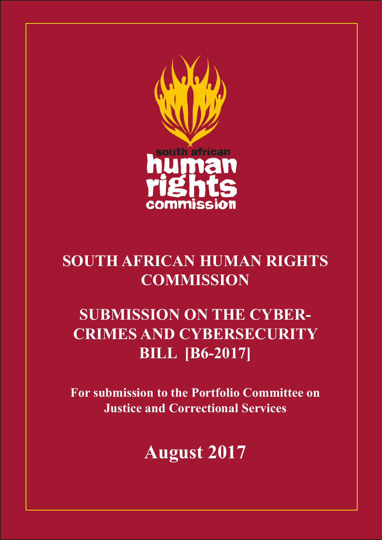

# **SOUTH AFRICAN HUMAN RIGHTS COMMISSION**

# **SUBMISSION ON THE CYBER-CRIMES AND CYBERSECURITY BILL [B6-2017]**

**For submission to the Portfolio Committee on Justice and Correctional Services** 

**August 2017**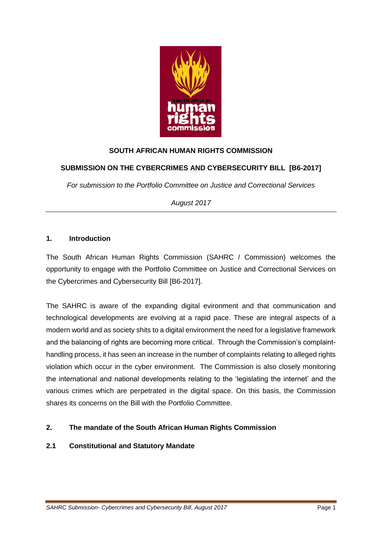

# **SOUTH AFRICAN HUMAN RIGHTS COMMISSION**

## **SUBMISSION ON THE CYBERCRIMES AND CYBERSECURITY BILL [B6-2017]**

*For submission to the Portfolio Committee on Justice and Correctional Services*

*August 2017*

### **1. Introduction**

The South African Human Rights Commission (SAHRC / Commission) welcomes the opportunity to engage with the Portfolio Committee on Justice and Correctional Services on the Cybercrimes and Cybersecurity Bill [B6-2017].

The SAHRC is aware of the expanding digital evironment and that communication and technological developments are evolving at a rapid pace. These are integral aspects of a modern world and as society shits to a digital environment the need for a legislative framework and the balancing of rights are becoming more critical. Through the Commission's complainthandling process, it has seen an increase in the number of complaints relating to alleged rights violation which occur in the cyber environment. The Commission is also closely monitoring the international and national developments relating to the 'legislating the internet' and the various crimes which are perpetrated in the digital space. On this basis, the Commission shares its concerns on the Bill with the Portfolio Committee.

#### **2. The mandate of the South African Human Rights Commission**

#### **2.1 Constitutional and Statutory Mandate**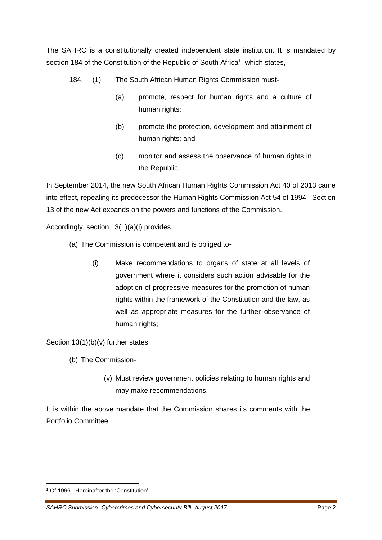The SAHRC is a constitutionally created independent state institution. It is mandated by section 184 of the Constitution of the Republic of South Africa<sup>1</sup> which states,

- 184. (1) The South African Human Rights Commission must-
	- (a) promote, respect for human rights and a culture of human rights;
	- (b) promote the protection, development and attainment of human rights; and
	- (c) monitor and assess the observance of human rights in the Republic.

In September 2014, the new South African Human Rights Commission Act 40 of 2013 came into effect, repealing its predecessor the Human Rights Commission Act 54 of 1994. Section 13 of the new Act expands on the powers and functions of the Commission.

Accordingly, section 13(1)(a)(i) provides,

- (a) The Commission is competent and is obliged to-
	- (i) Make recommendations to organs of state at all levels of government where it considers such action advisable for the adoption of progressive measures for the promotion of human rights within the framework of the Constitution and the law, as well as appropriate measures for the further observance of human rights;

Section 13(1)(b)(v) further states,

- (b) The Commission-
	- (v) Must review government policies relating to human rights and may make recommendations.

It is within the above mandate that the Commission shares its comments with the Portfolio Committee.

**.** 

<sup>&</sup>lt;sup>1</sup> Of 1996. Hereinafter the 'Constitution'.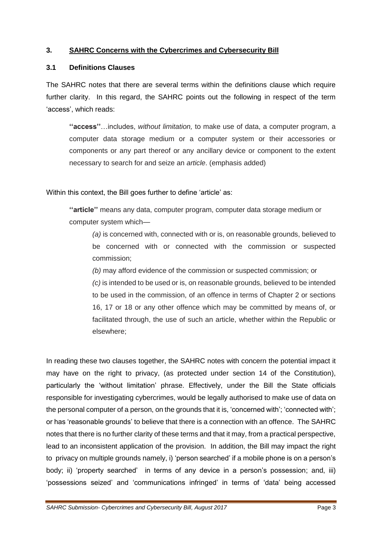## **3. SAHRC Concerns with the Cybercrimes and Cybersecurity Bill**

#### **3.1 Definitions Clauses**

The SAHRC notes that there are several terms within the definitions clause which require further clarity. In this regard, the SAHRC points out the following in respect of the term 'access', which reads:

**''access''**…includes, *without limitation,* to make use of data, a computer program, a computer data storage medium or a computer system or their accessories or components or any part thereof or any ancillary device or component to the extent necessary to search for and seize an *article*. (emphasis added)

Within this context, the Bill goes further to define 'article' as:

**''article''** means any data, computer program, computer data storage medium or computer system which—

*(a)* is concerned with, connected with or is, on reasonable grounds, believed to be concerned with or connected with the commission or suspected commission;

*(b)* may afford evidence of the commission or suspected commission; or

*(c)* is intended to be used or is, on reasonable grounds, believed to be intended to be used in the commission, of an offence in terms of Chapter 2 or sections 16, 17 or 18 or any other offence which may be committed by means of, or facilitated through, the use of such an article, whether within the Republic or elsewhere;

In reading these two clauses together, the SAHRC notes with concern the potential impact it may have on the right to privacy, (as protected under section 14 of the Constitution), particularly the 'without limitation' phrase. Effectively, under the Bill the State officials responsible for investigating cybercrimes, would be legally authorised to make use of data on the personal computer of a person, on the grounds that it is, 'concerned with'; 'connected with'; or has 'reasonable grounds' to believe that there is a connection with an offence. The SAHRC notes that there is no further clarity of these terms and that it may, from a practical perspective, lead to an inconsistent application of the provision. In addition, the Bill may impact the right to privacy on multiple grounds namely, i) 'person searched' if a mobile phone is on a person's body; ii) 'property searched' in terms of any device in a person's possession; and, iii) 'possessions seized' and 'communications infringed' in terms of 'data' being accessed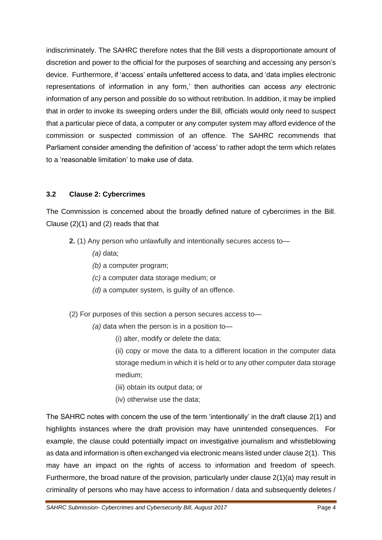indiscriminately. The SAHRC therefore notes that the Bill vests a disproportionate amount of discretion and power to the official for the purposes of searching and accessing any person's device. Furthermore, if 'access' entails unfettered access to data, and 'data implies electronic representations of information in any form,' then authorities can access *any* electronic information of any person and possible do so without retribution. In addition, it may be implied that in order to invoke its sweeping orders under the Bill, officials would only need to suspect that a particular piece of data, a computer or any computer system may afford evidence of the commission or suspected commission of an offence. The SAHRC recommends that Parliament consider amending the definition of 'access' to rather adopt the term which relates to a 'reasonable limitation' to make use of data.

# **3.2 Clause 2: Cybercrimes**

The Commission is concerned about the broadly defined nature of cybercrimes in the Bill. Clause (2)(1) and (2) reads that that

- **2.** (1) Any person who unlawfully and intentionally secures access to—
	- *(a)* data;
	- *(b)* a computer program;
	- *(c)* a computer data storage medium; or
	- *(d)* a computer system, is guilty of an offence.
- (2) For purposes of this section a person secures access to—
	- *(a)* data when the person is in a position to—
		- (i) alter, modify or delete the data;
		- (ii) copy or move the data to a different location in the computer data storage medium in which it is held or to any other computer data storage medium;
		- (iii) obtain its output data; or
		- (iv) otherwise use the data;

The SAHRC notes with concern the use of the term 'intentionally' in the draft clause 2(1) and highlights instances where the draft provision may have unintended consequences. For example, the clause could potentially impact on investigative journalism and whistleblowing as data and information is often exchanged via electronic means listed under clause 2(1). This may have an impact on the rights of access to information and freedom of speech. Furthermore, the broad nature of the provision, particularly under clause 2(1)(a) may result in criminality of persons who may have access to information / data and subsequently deletes /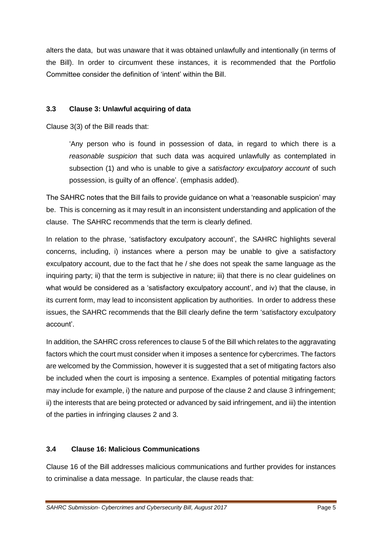alters the data, but was unaware that it was obtained unlawfully and intentionally (in terms of the Bill). In order to circumvent these instances, it is recommended that the Portfolio Committee consider the definition of 'intent' within the Bill.

# **3.3 Clause 3: Unlawful acquiring of data**

Clause 3(3) of the Bill reads that:

'Any person who is found in possession of data, in regard to which there is a *reasonable suspicion* that such data was acquired unlawfully as contemplated in subsection (1) and who is unable to give a *satisfactory exculpatory account* of such possession, is guilty of an offence'. (emphasis added).

The SAHRC notes that the Bill fails to provide guidance on what a 'reasonable suspicion' may be. This is concerning as it may result in an inconsistent understanding and application of the clause. The SAHRC recommends that the term is clearly defined.

In relation to the phrase, 'satisfactory exculpatory account', the SAHRC highlights several concerns, including, i) instances where a person may be unable to give a satisfactory exculpatory account, due to the fact that he / she does not speak the same language as the inquiring party; ii) that the term is subjective in nature; iii) that there is no clear guidelines on what would be considered as a 'satisfactory exculpatory account', and iv) that the clause, in its current form, may lead to inconsistent application by authorities. In order to address these issues, the SAHRC recommends that the Bill clearly define the term 'satisfactory exculpatory account'.

In addition, the SAHRC cross references to clause 5 of the Bill which relates to the aggravating factors which the court must consider when it imposes a sentence for cybercrimes. The factors are welcomed by the Commission, however it is suggested that a set of mitigating factors also be included when the court is imposing a sentence. Examples of potential mitigating factors may include for example, i) the nature and purpose of the clause 2 and clause 3 infringement; ii) the interests that are being protected or advanced by said infringement, and iii) the intention of the parties in infringing clauses 2 and 3.

## **3.4 Clause 16: Malicious Communications**

Clause 16 of the Bill addresses malicious communications and further provides for instances to criminalise a data message. In particular, the clause reads that: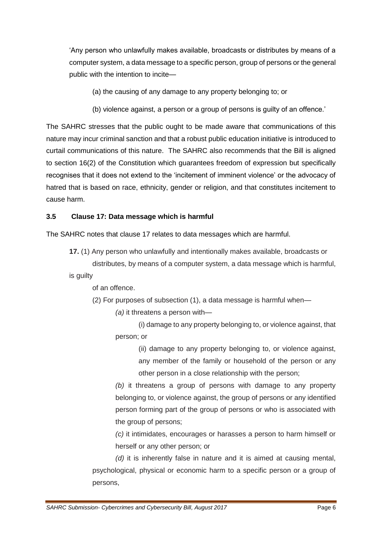'Any person who unlawfully makes available, broadcasts or distributes by means of a computer system, a data message to a specific person, group of persons or the general public with the intention to incite—

- (a) the causing of any damage to any property belonging to; or
- (b) violence against, a person or a group of persons is guilty of an offence.'

The SAHRC stresses that the public ought to be made aware that communications of this nature may incur criminal sanction and that a robust public education initiative is introduced to curtail communications of this nature. The SAHRC also recommends that the Bill is aligned to section 16(2) of the Constitution which guarantees freedom of expression but specifically recognises that it does not extend to the 'incitement of imminent violence' or the advocacy of hatred that is based on race, ethnicity, gender or religion, and that constitutes incitement to cause harm.

#### **3.5 Clause 17: Data message which is harmful**

The SAHRC notes that clause 17 relates to data messages which are harmful.

**17.** (1) Any person who unlawfully and intentionally makes available, broadcasts or distributes, by means of a computer system, a data message which is harmful,

is guilty

of an offence.

(2) For purposes of subsection (1), a data message is harmful when—

*(a)* it threatens a person with—

(i) damage to any property belonging to, or violence against, that person; or

> (ii) damage to any property belonging to, or violence against, any member of the family or household of the person or any other person in a close relationship with the person;

*(b)* it threatens a group of persons with damage to any property belonging to, or violence against, the group of persons or any identified person forming part of the group of persons or who is associated with the group of persons:

*(c)* it intimidates, encourages or harasses a person to harm himself or herself or any other person; or

*(d)* it is inherently false in nature and it is aimed at causing mental, psychological, physical or economic harm to a specific person or a group of persons,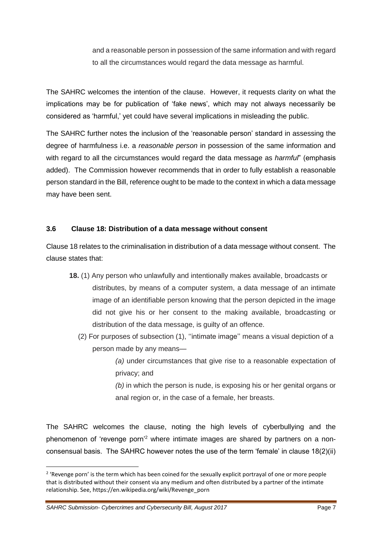and a reasonable person in possession of the same information and with regard to all the circumstances would regard the data message as harmful.

The SAHRC welcomes the intention of the clause. However, it requests clarity on what the implications may be for publication of 'fake news', which may not always necessarily be considered as 'harmful,' yet could have several implications in misleading the public.

The SAHRC further notes the inclusion of the 'reasonable person' standard in assessing the degree of harmfulness i.e. a *reasonable person* in possession of the same information and with regard to all the circumstances would regard the data message as *harmful*" (emphasis added). The Commission however recommends that in order to fully establish a reasonable person standard in the Bill, reference ought to be made to the context in which a data message may have been sent.

### **3.6 Clause 18: Distribution of a data message without consent**

Clause 18 relates to the criminalisation in distribution of a data message without consent. The clause states that:

- **18.** (1) Any person who unlawfully and intentionally makes available, broadcasts or distributes, by means of a computer system, a data message of an intimate image of an identifiable person knowing that the person depicted in the image did not give his or her consent to the making available, broadcasting or distribution of the data message, is guilty of an offence.
	- (2) For purposes of subsection (1), ''intimate image'' means a visual depiction of a person made by any means—

*(a)* under circumstances that give rise to a reasonable expectation of privacy; and

*(b)* in which the person is nude, is exposing his or her genital organs or anal region or, in the case of a female, her breasts.

The SAHRC welcomes the clause, noting the high levels of cyberbullying and the phenomenon of 'revenge porn'<sup>2</sup> where intimate images are shared by partners on a nonconsensual basis. The SAHRC however notes the use of the term 'female' in clause 18(2)(ii)

**.** 

<sup>&</sup>lt;sup>2</sup> 'Revenge porn' is the term which has been coined for the sexually explicit portrayal of one or more people that is distributed without their consent via any medium and often distributed by a partner of the intimate relationship. See, https://en.wikipedia.org/wiki/Revenge\_porn

*SAHRC Submission- Cybercrimes and Cybersecurity Bill, August 2017* Page 7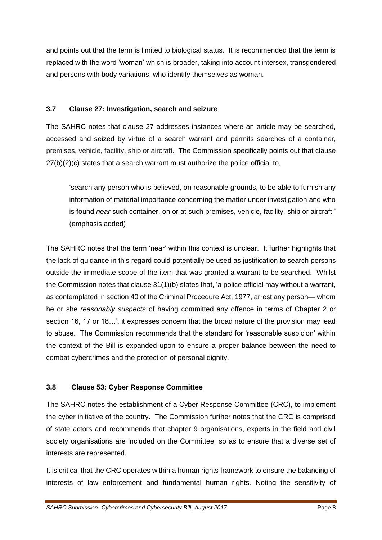and points out that the term is limited to biological status. It is recommended that the term is replaced with the word 'woman' which is broader, taking into account intersex, transgendered and persons with body variations, who identify themselves as woman.

## **3.7 Clause 27: Investigation, search and seizure**

The SAHRC notes that clause 27 addresses instances where an article may be searched, accessed and seized by virtue of a search warrant and permits searches of a container, premises, vehicle, facility, ship or aircraft. The Commission specifically points out that clause 27(b)(2)(c) states that a search warrant must authorize the police official to,

'search any person who is believed, on reasonable grounds, to be able to furnish any information of material importance concerning the matter under investigation and who is found *near* such container, on or at such premises, vehicle, facility, ship or aircraft.' (emphasis added)

The SAHRC notes that the term 'near' within this context is unclear. It further highlights that the lack of guidance in this regard could potentially be used as justification to search persons outside the immediate scope of the item that was granted a warrant to be searched. Whilst the Commission notes that clause 31(1)(b) states that, 'a police official may without a warrant, as contemplated in section 40 of the Criminal Procedure Act, 1977, arrest any person—'whom he or she *reasonably suspects* of having committed any offence in terms of Chapter 2 or section 16, 17 or 18…', it expresses concern that the broad nature of the provision may lead to abuse. The Commission recommends that the standard for 'reasonable suspicion' within the context of the Bill is expanded upon to ensure a proper balance between the need to combat cybercrimes and the protection of personal dignity.

# **3.8 Clause 53: Cyber Response Committee**

The SAHRC notes the establishment of a Cyber Response Committee (CRC), to implement the cyber initiative of the country. The Commission further notes that the CRC is comprised of state actors and recommends that chapter 9 organisations, experts in the field and civil society organisations are included on the Committee, so as to ensure that a diverse set of interests are represented.

It is critical that the CRC operates within a human rights framework to ensure the balancing of interests of law enforcement and fundamental human rights. Noting the sensitivity of